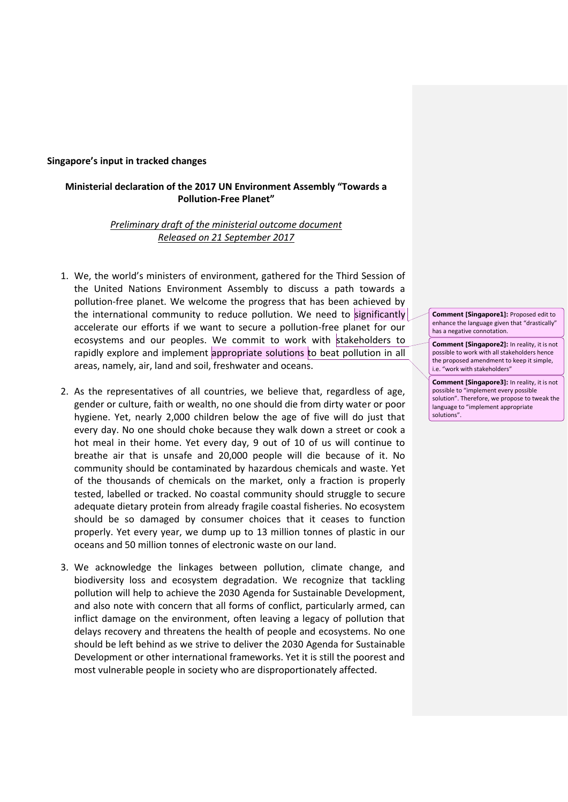## **Singapore's input in tracked changes**

## **Ministerial declaration of the 2017 UN Environment Assembly "Towards a Pollution-Free Planet"**

## *Preliminary draft of the ministerial outcome document Released on 21 September 2017*

- 1. We, the world's ministers of environment, gathered for the Third Session of the United Nations Environment Assembly to discuss a path towards a pollution-free planet. We welcome the progress that has been achieved by the international community to reduce pollution. We need to significantly accelerate our efforts if we want to secure a pollution-free planet for our ecosystems and our peoples. We commit to work with stakeholders to rapidly explore and implement appropriate solutions to beat pollution in all areas, namely, air, land and soil, freshwater and oceans.
- 2. As the representatives of all countries, we believe that, regardless of age, gender or culture, faith or wealth, no one should die from dirty water or poor hygiene. Yet, nearly 2,000 children below the age of five will do just that every day. No one should choke because they walk down a street or cook a hot meal in their home. Yet every day, 9 out of 10 of us will continue to breathe air that is unsafe and 20,000 people will die because of it. No community should be contaminated by hazardous chemicals and waste. Yet of the thousands of chemicals on the market, only a fraction is properly tested, labelled or tracked. No coastal community should struggle to secure adequate dietary protein from already fragile coastal fisheries. No ecosystem should be so damaged by consumer choices that it ceases to function properly. Yet every year, we dump up to 13 million tonnes of plastic in our oceans and 50 million tonnes of electronic waste on our land.
- 3. We acknowledge the linkages between pollution, climate change, and biodiversity loss and ecosystem degradation. We recognize that tackling pollution will help to achieve the 2030 Agenda for Sustainable Development, and also note with concern that all forms of conflict, particularly armed, can inflict damage on the environment, often leaving a legacy of pollution that delays recovery and threatens the health of people and ecosystems. No one should be left behind as we strive to deliver the 2030 Agenda for Sustainable Development or other international frameworks. Yet it is still the poorest and most vulnerable people in society who are disproportionately affected.

**Comment [Singapore1]:** Proposed edit to enhance the language given that "drastically" has a negative connotation.

**Comment [Singapore2]:** In reality, it is not possible to work with all stakeholders hence the proposed amendment to keep it simple, i.e. "work with stakeholders"

**Comment [Singapore3]:** In reality, it is not possible to "implement every possible solution". Therefore, we propose to tweak the language to "implement appropriate solutions".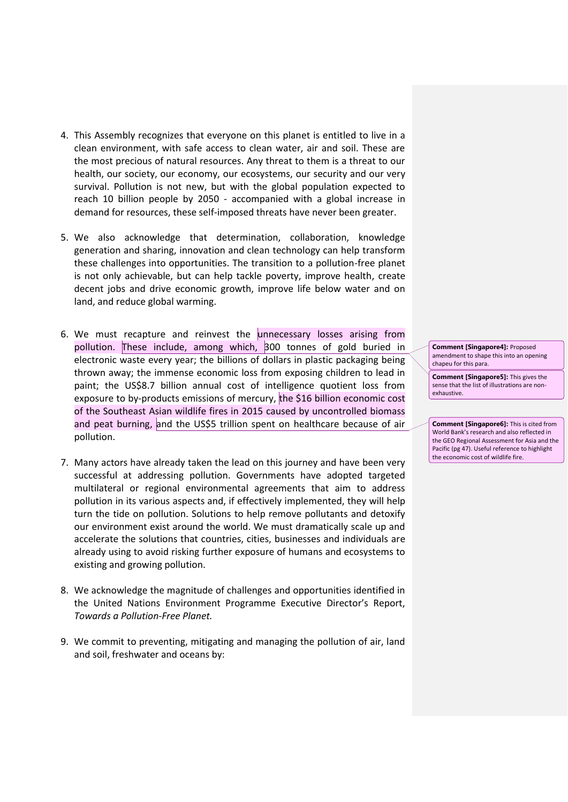- 4. This Assembly recognizes that everyone on this planet is entitled to live in a clean environment, with safe access to clean water, air and soil. These are the most precious of natural resources. Any threat to them is a threat to our health, our society, our economy, our ecosystems, our security and our very survival. Pollution is not new, but with the global population expected to reach 10 billion people by 2050 - accompanied with a global increase in demand for resources, these self-imposed threats have never been greater.
- 5. We also acknowledge that determination, collaboration, knowledge generation and sharing, innovation and clean technology can help transform these challenges into opportunities. The transition to a pollution-free planet is not only achievable, but can help tackle poverty, improve health, create decent jobs and drive economic growth, improve life below water and on land, and reduce global warming.
- 6. We must recapture and reinvest the unnecessary losses arising from pollution. These include, among which, 300 tonnes of gold buried in electronic waste every year; the billions of dollars in plastic packaging being thrown away; the immense economic loss from exposing children to lead in paint; the US\$8.7 billion annual cost of intelligence quotient loss from exposure to by-products emissions of mercury, the \$16 billion economic cost of the Southeast Asian wildlife fires in 2015 caused by uncontrolled biomass and peat burning, and the US\$5 trillion spent on healthcare because of air pollution.
- 7. Many actors have already taken the lead on this journey and have been very successful at addressing pollution. Governments have adopted targeted multilateral or regional environmental agreements that aim to address pollution in its various aspects and, if effectively implemented, they will help turn the tide on pollution. Solutions to help remove pollutants and detoxify our environment exist around the world. We must dramatically scale up and accelerate the solutions that countries, cities, businesses and individuals are already using to avoid risking further exposure of humans and ecosystems to existing and growing pollution.
- 8. We acknowledge the magnitude of challenges and opportunities identified in the United Nations Environment Programme Executive Director's Report, *Towards a Pollution-Free Planet.*
- 9. We commit to preventing, mitigating and managing the pollution of air, land and soil, freshwater and oceans by:

**Comment [Singapore4]:** Proposed amendment to shape this into an opening chapeu for this para.

**Comment [Singapore5]:** This gives the sense that the list of illustrations are nonexhaustive.

**Comment [Singapore6]:** This is cited from World Bank's research and also reflected in the GEO Regional Assessment for Asia and the Pacific (pg 47). Useful reference to highlight the economic cost of wildlife fire.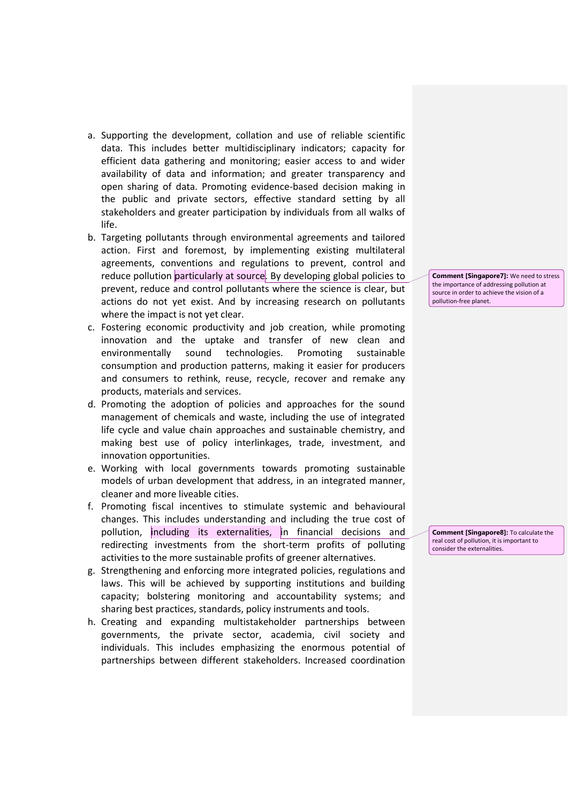- a. Supporting the development, collation and use of reliable scientific data. This includes better multidisciplinary indicators; capacity for efficient data gathering and monitoring; easier access to and wider availability of data and information; and greater transparency and open sharing of data. Promoting evidence-based decision making in the public and private sectors, effective standard setting by all stakeholders and greater participation by individuals from all walks of life.
- b. Targeting pollutants through environmental agreements and tailored action. First and foremost, by implementing existing multilateral agreements, conventions and regulations to prevent, control and reduce pollution particularly at source. By developing global policies to prevent, reduce and control pollutants where the science is clear, but actions do not yet exist. And by increasing research on pollutants where the impact is not yet clear.
- c. Fostering economic productivity and job creation, while promoting innovation and the uptake and transfer of new clean and environmentally sound technologies. Promoting sustainable consumption and production patterns, making it easier for producers and consumers to rethink, reuse, recycle, recover and remake any products, materials and services.
- d. Promoting the adoption of policies and approaches for the sound management of chemicals and waste, including the use of integrated life cycle and value chain approaches and sustainable chemistry, and making best use of policy interlinkages, trade, investment, and innovation opportunities.
- e. Working with local governments towards promoting sustainable models of urban development that address, in an integrated manner, cleaner and more liveable cities.
- f. Promoting fiscal incentives to stimulate systemic and behavioural changes. This includes understanding and including the true cost of pollution, including its externalities, in financial decisions and redirecting investments from the short-term profits of polluting activities to the more sustainable profits of greener alternatives.
- g. Strengthening and enforcing more integrated policies, regulations and laws. This will be achieved by supporting institutions and building capacity; bolstering monitoring and accountability systems; and sharing best practices, standards, policy instruments and tools.
- h. Creating and expanding multistakeholder partnerships between governments, the private sector, academia, civil society and individuals. This includes emphasizing the enormous potential of partnerships between different stakeholders. Increased coordination

**Comment [Singapore7]:** We need to stress the importance of addressing pollution at source in order to achieve the vision of a pollution-free planet.

**Comment [Singapore8]:** To calculate the real cost of pollution, it is important to consider the externalities.